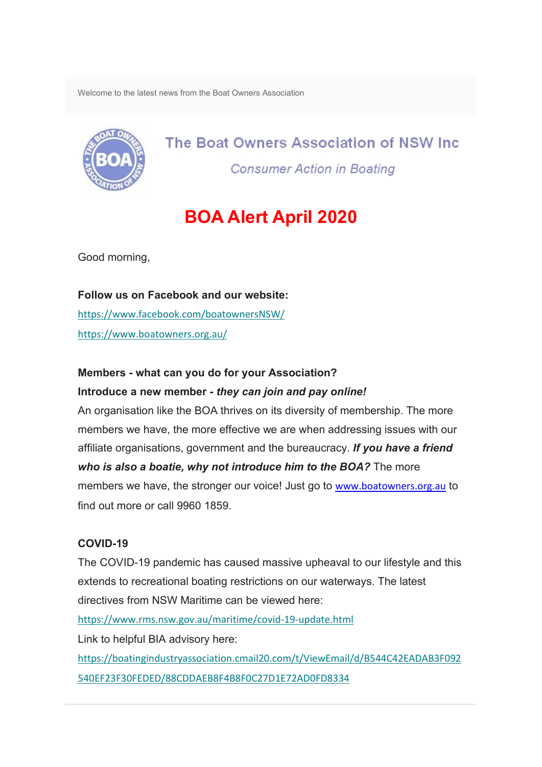Welcome to the latest news from the Boat Owners Association



The Boat Owners Association of NSW Inc. **Consumer Action in Boating** 

# **BOA Alert April 2020**

Good morning,

# **Follow us on Facebook and our website:** [https://www.facebook.com/boatownersNSW/](https://oaansw.us7.list-manage.com/track/click?u=8078e0c32a49070244c973faa&id=c4a39a6b96&e=1dbb6495a0)

[https://www.boatowners.org.au/](https://oaansw.us7.list-manage.com/track/click?u=8078e0c32a49070244c973faa&id=91a5bdb7bb&e=1dbb6495a0)

## **Members - what can you do for your Association?**

## **Introduce a new member -** *they can join and pay online!*

An organisation like the BOA thrives on its diversity of membership. The more members we have, the more effective we are when addressing issues with our affiliate organisations, government and the bureaucracy. *If you have a friend who is also a boatie, why not introduce him to the BOA?* The more members we have, the stronger our voice! Just go to [www.boatowners.org.au](http://www.boatowners.org.au/) to find out more or call 9960 1859

# **COVID-19**

The COVID-19 pandemic has caused massive upheaval to our lifestyle and this extends to recreational boating restrictions on our waterways. The latest directives from NSW Maritime can be viewed here:

[https://www.rms.nsw.gov.au/maritime/covid-19-update.html](https://oaansw.us7.list-manage.com/track/click?u=8078e0c32a49070244c973faa&id=019a2168df&e=1dbb6495a0)

Link to helpful BIA advisory here:

[https://boatingindustryassociation.cmail20.com/t/ViewEmail/d/B544C42EADAB3F092](https://oaansw.us7.list-manage.com/track/click?u=8078e0c32a49070244c973faa&id=d41be8b034&e=1dbb6495a0) [540EF23F30FEDED/88CDDAEB8F4B8F0C27D1E72AD0FD8334](https://oaansw.us7.list-manage.com/track/click?u=8078e0c32a49070244c973faa&id=d41be8b034&e=1dbb6495a0)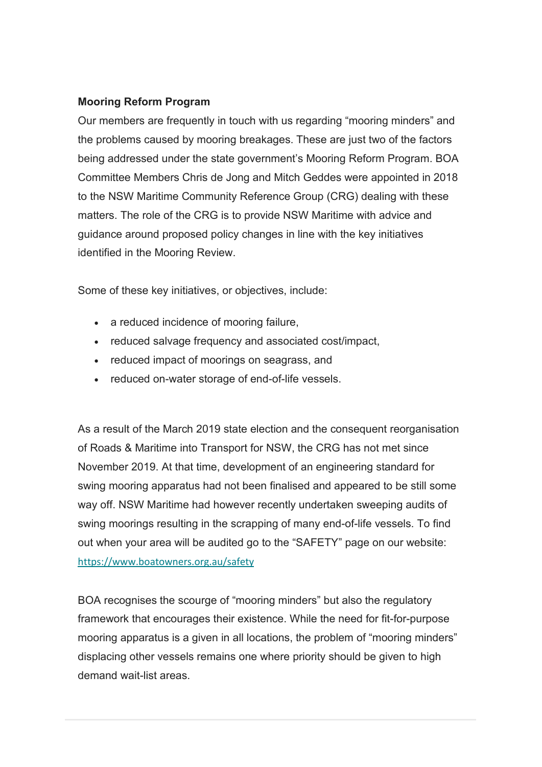## **Mooring Reform Program**

Our members are frequently in touch with us regarding "mooring minders" and the problems caused by mooring breakages. These are just two of the factors being addressed under the state government's Mooring Reform Program. BOA Committee Members Chris de Jong and Mitch Geddes were appointed in 2018 to the NSW Maritime Community Reference Group (CRG) dealing with these matters. The role of the CRG is to provide NSW Maritime with advice and guidance around proposed policy changes in line with the key initiatives identified in the Mooring Review.

Some of these key initiatives, or objectives, include:

- a reduced incidence of mooring failure,
- reduced salvage frequency and associated cost/impact,
- reduced impact of moorings on seagrass, and
- reduced on-water storage of end-of-life vessels.

As a result of the March 2019 state election and the consequent reorganisation of Roads & Maritime into Transport for NSW, the CRG has not met since November 2019. At that time, development of an engineering standard for swing mooring apparatus had not been finalised and appeared to be still some way off. NSW Maritime had however recently undertaken sweeping audits of swing moorings resulting in the scrapping of many end-of-life vessels. To find out when your area will be audited go to the "SAFETY" page on our website: [https://www.boatowners.org.au/safety](https://oaansw.us7.list-manage.com/track/click?u=8078e0c32a49070244c973faa&id=ddb81f7426&e=1dbb6495a0)

BOA recognises the scourge of "mooring minders" but also the regulatory framework that encourages their existence. While the need for fit-for-purpose mooring apparatus is a given in all locations, the problem of "mooring minders" displacing other vessels remains one where priority should be given to high demand wait-list areas.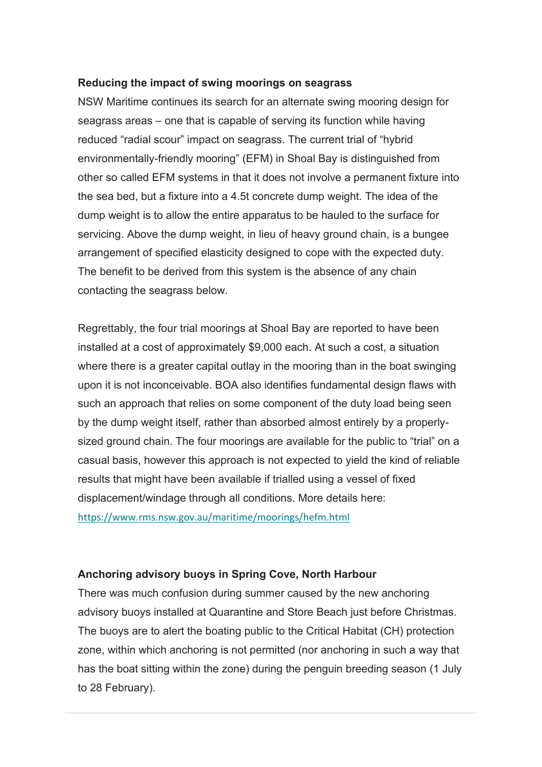#### **Reducing the impact of swing moorings on seagrass**

NSW Maritime continues its search for an alternate swing mooring design for seagrass areas – one that is capable of serving its function while having reduced "radial scour" impact on seagrass. The current trial of "hybrid environmentally-friendly mooring" (EFM) in Shoal Bay is distinguished from other so called EFM systems in that it does not involve a permanent fixture into the sea bed, but a fixture into a 4.5t concrete dump weight. The idea of the dump weight is to allow the entire apparatus to be hauled to the surface for servicing. Above the dump weight, in lieu of heavy ground chain, is a bungee arrangement of specified elasticity designed to cope with the expected duty. The benefit to be derived from this system is the absence of any chain contacting the seagrass below.

Regrettably, the four trial moorings at Shoal Bay are reported to have been installed at a cost of approximately \$9,000 each. At such a cost, a situation where there is a greater capital outlay in the mooring than in the boat swinging upon it is not inconceivable. BOA also identifies fundamental design flaws with such an approach that relies on some component of the duty load being seen by the dump weight itself, rather than absorbed almost entirely by a properlysized ground chain. The four moorings are available for the public to "trial" on a casual basis, however this approach is not expected to yield the kind of reliable results that might have been available if trialled using a vessel of fixed displacement/windage through all conditions. More details here: [https://www.rms.nsw.gov.au/maritime/moorings/hefm.html](https://oaansw.us7.list-manage.com/track/click?u=8078e0c32a49070244c973faa&id=8050e9807f&e=1dbb6495a0)

#### **Anchoring advisory buoys in Spring Cove, North Harbour**

There was much confusion during summer caused by the new anchoring advisory buoys installed at Quarantine and Store Beach just before Christmas. The buoys are to alert the boating public to the Critical Habitat (CH) protection zone, within which anchoring is not permitted (nor anchoring in such a way that has the boat sitting within the zone) during the penguin breeding season (1 July to 28 February).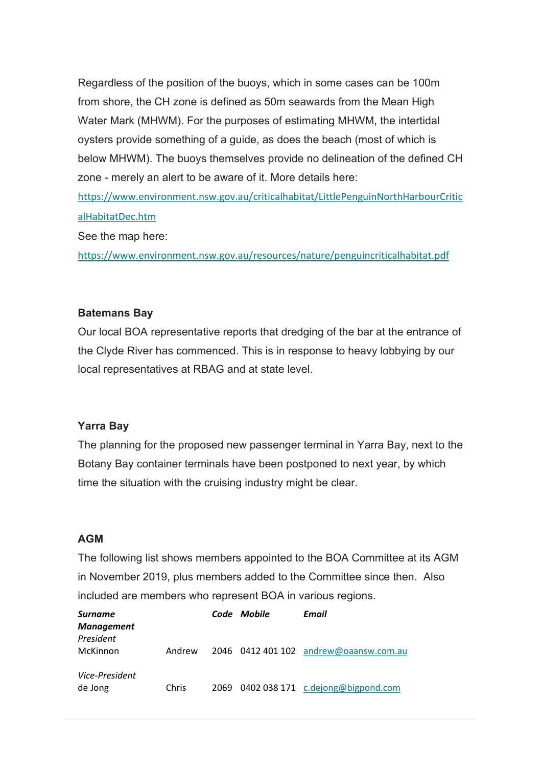Regardless of the position of the buoys, which in some cases can be 100m from shore, the CH zone is defined as 50m seawards from the Mean High Water Mark (MHWM). For the purposes of estimating MHWM, the intertidal oysters provide something of a guide, as does the beach (most of which is below MHWM). The buoys themselves provide no delineation of the defined CH zone - merely an alert to be aware of it. More details here:

[https://www.environment.nsw.gov.au/criticalhabitat/LittlePenguinNorthHarbourCritic](https://oaansw.us7.list-manage.com/track/click?u=8078e0c32a49070244c973faa&id=52dc6400d0&e=1dbb6495a0) [alHabitatDec.htm](https://oaansw.us7.list-manage.com/track/click?u=8078e0c32a49070244c973faa&id=52dc6400d0&e=1dbb6495a0)

See the map here:

[https://www.environment.nsw.gov.au/resources/nature/penguincriticalhabitat.pdf](https://oaansw.us7.list-manage.com/track/click?u=8078e0c32a49070244c973faa&id=557bc48a23&e=1dbb6495a0)

#### **Batemans Bay**

Our local BOA representative reports that dredging of the bar at the entrance of the Clyde River has commenced. This is in response to heavy lobbying by our local representatives at RBAG and at state level.

#### **Yarra Bay**

The planning for the proposed new passenger terminal in Yarra Bay, next to the Botany Bay container terminals have been postponed to next year, by which time the situation with the cruising industry might be clear.

### **AGM**

The following list shows members appointed to the BOA Committee at its AGM in November 2019, plus members added to the Committee since then. Also included are members who represent BOA in various regions.

| <b>Surname</b><br><b>Management</b> |              | Code Mobile | Email                                  |
|-------------------------------------|--------------|-------------|----------------------------------------|
| President<br>McKinnon               | Andrew       |             | 2046 0412 401 102 andrew@oaansw.com.au |
| Vice-President<br>de Jong           | <b>Chris</b> |             | 2069 0402 038 171 c.dejong@bigpond.com |